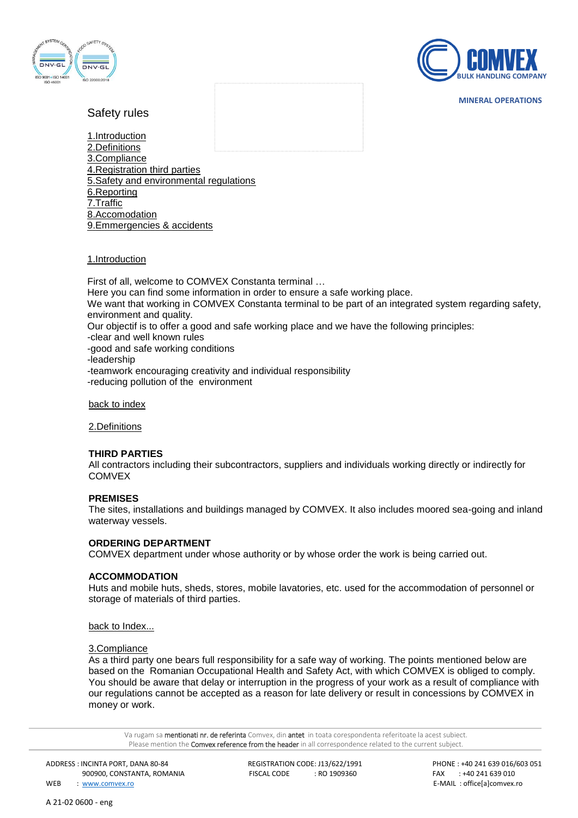



**MINERAL OPERATIONS**

# Safety rules

1.Introduction 2.Definitions 3.Compliance 4.Registration third parties 5.Safety and environmental regulations 6.Reporting 7.Traffic 8.Accomodation 9.Emmergencies & accidents

### 1.Introduction

First of all, welcome to COMVEX Constanta terminal … Here you can find some information in order to ensure a safe working place. We want that working in COMVEX Constanta terminal to be part of an integrated system regarding safety, environment and quality. Our objectif is to offer a good and safe working place and we have the following principles: -clear and well known rules

-good and safe working conditions

-leadership

-teamwork encouraging creativity and individual responsibility

-reducing pollution of the environment

back to index

2.Definitions

### **THIRD PARTIES**

All contractors including their subcontractors, suppliers and individuals working directly or indirectly for **COMVEX** 

### **PREMISES**

The sites, installations and buildings managed by COMVEX. It also includes moored sea-going and inland waterway vessels.

### **ORDERING DEPARTMENT**

COMVEX department under whose authority or by whose order the work is being carried out.

### **ACCOMMODATION**

Huts and mobile huts, sheds, stores, mobile lavatories, etc. used for the accommodation of personnel or storage of materials of third parties.

[back to Index...](http://www.emo.nl/en/emooperationeel/veiligheidsregels.html#index)

### 3.Compliance

As a third party one bears full responsibility for a safe way of working. The points mentioned below are based on the Romanian Occupational Health and Safety Act, with which COMVEX is obliged to comply. You should be aware that delay or interruption in the progress of your work as a result of compliance with our regulations cannot be accepted as a reason for late delivery or result in concessions by COMVEX in money or work.

Va rugam sa mentionati nr. de referinta Comvex, din antet in toata corespondenta referitoate la acest subiect. Please mention the **Comvex reference from the header** in all correspondence related to the current subject.

ADDRESS : INCINTA PORT, DANA 80-84 REGISTRATION CODE: J13/622/1991 PHONE : +40 241 639 016/603 051

WEB : [www.comvex.ro](http://www.comvex.ro/) E-MAIL : office[a]comvex.ro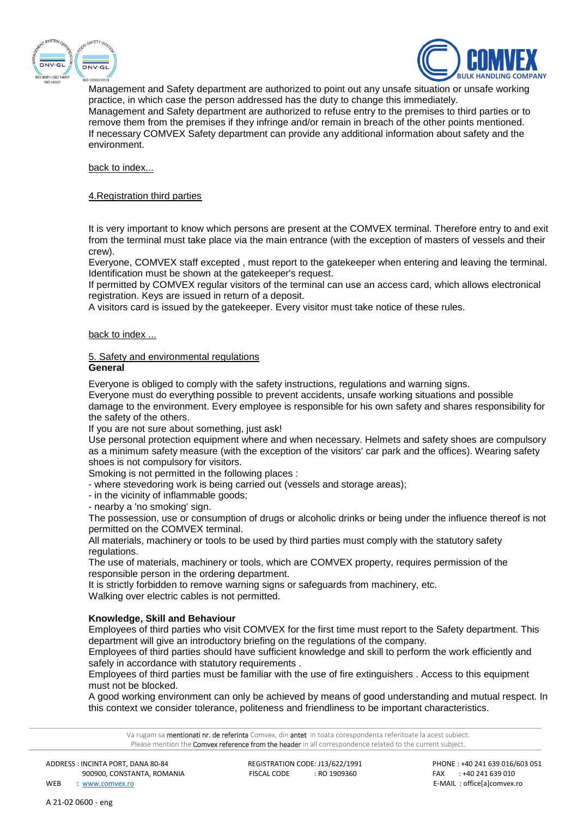



Management and Safety department are authorized to point out any unsafe situation or unsafe working practice, in which case the person addressed has the duty to change this immediately. Management and Safety department are authorized to refuse entry to the premises to third parties or to remove them from the premises if they infringe and/or remain in breach of the other points mentioned. If necessary COMVEX Safety department can provide any additional information about safety and the environment.

back to index...

### 4.Registration third parties

It is very important to know which persons are present at the COMVEX terminal. Therefore entry to and exit from the terminal must take place via the main entrance (with the exception of masters of vessels and their crew).

Everyone, COMVEX staff excepted , must report to the gatekeeper when entering and leaving the terminal. Identification must be shown at the gatekeeper's request.

If permitted by COMVEX regular visitors of the terminal can use an access card, which allows electronical registration. Keys are issued in return of a deposit.

A visitors card is issued by the gatekeeper. Every visitor must take notice of these rules.

### back to index ...

#### 5. Safety and environmental regulations **General**

Everyone is obliged to comply with the safety instructions, regulations and warning signs.

Everyone must do everything possible to prevent accidents, unsafe working situations and possible damage to the environment. Every employee is responsible for his own safety and shares responsibility for the safety of the others.

If you are not sure about something, just ask!

Use personal protection equipment where and when necessary. Helmets and safety shoes are compulsory as a minimum safety measure (with the exception of the visitors' car park and the offices). Wearing safety shoes is not compulsory for visitors.

Smoking is not permitted in the following places :

- where stevedoring work is being carried out (vessels and storage areas);
- in the vicinity of inflammable goods;

- nearby a 'no smoking' sign.

The possession, use or consumption of drugs or alcoholic drinks or being under the influence thereof is not permitted on the COMVEX terminal.

All materials, machinery or tools to be used by third parties must comply with the statutory safety regulations.

The use of materials, machinery or tools, which are COMVEX property, requires permission of the responsible person in the ordering department.

It is strictly forbidden to remove warning signs or safeguards from machinery, etc. Walking over electric cables is not permitted.

### **Knowledge, Skill and Behaviour**

Employees of third parties who visit COMVEX for the first time must report to the Safety department. This department will give an introductory briefing on the regulations of the company.

Employees of third parties should have sufficient knowledge and skill to perform the work efficiently and safely in accordance with statutory requirements.

Employees of third parties must be familiar with the use of fire extinguishers . Access to this equipment must not be blocked.

A good working environment can only be achieved by means of good understanding and mutual respect. In this context we consider tolerance, politeness and friendliness to be important characteristics.

Va rugam sa **mentionati nr. de referinta** Comvex, din antet in toata corespondenta referitoate la acest subiect. Please mention the **Comvex reference from the header** in all correspondence related to the current subject.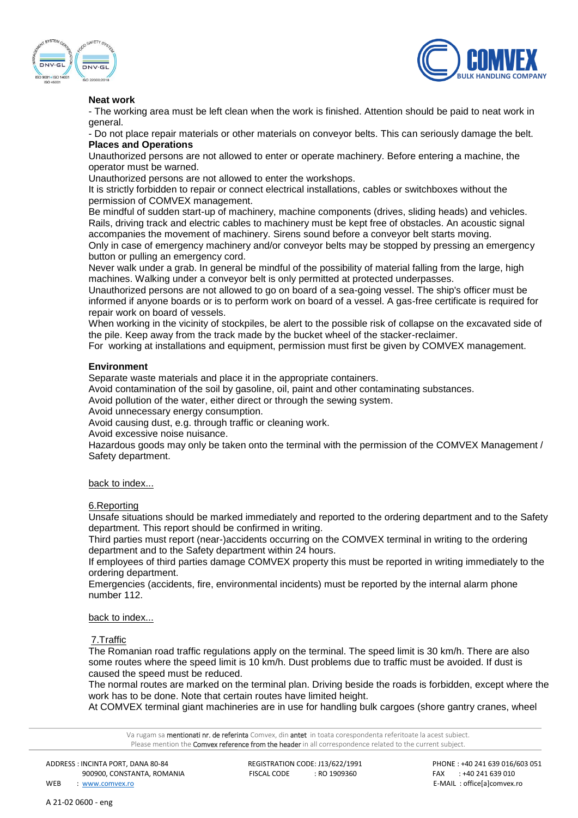



### **Neat work**

- The working area must be left clean when the work is finished. Attention should be paid to neat work in general.

- Do not place repair materials or other materials on conveyor belts. This can seriously damage the belt. **Places and Operations**

Unauthorized persons are not allowed to enter or operate machinery. Before entering a machine, the operator must be warned.

Unauthorized persons are not allowed to enter the workshops.

It is strictly forbidden to repair or connect electrical installations, cables or switchboxes without the permission of COMVEX management.

Be mindful of sudden start-up of machinery, machine components (drives, sliding heads) and vehicles. Rails, driving track and electric cables to machinery must be kept free of obstacles. An acoustic signal accompanies the movement of machinery. Sirens sound before a conveyor belt starts moving.

Only in case of emergency machinery and/or conveyor belts may be stopped by pressing an emergency button or pulling an emergency cord.

Never walk under a grab. In general be mindful of the possibility of material falling from the large, high machines. Walking under a conveyor belt is only permitted at protected underpasses.

Unauthorized persons are not allowed to go on board of a sea-going vessel. The ship's officer must be informed if anyone boards or is to perform work on board of a vessel. A gas-free certificate is required for repair work on board of vessels.

When working in the vicinity of stockpiles, be alert to the possible risk of collapse on the excavated side of the pile. Keep away from the track made by the bucket wheel of the stacker-reclaimer.

For working at installations and equipment, permission must first be given by COMVEX management.

### **Environment**

Separate waste materials and place it in the appropriate containers.

Avoid contamination of the soil by gasoline, oil, paint and other contaminating substances.

Avoid pollution of the water, either direct or through the sewing system.

Avoid unnecessary energy consumption.

Avoid causing dust, e.g. through traffic or cleaning work.

Avoid excessive noise nuisance.

Hazardous goods may only be taken onto the terminal with the permission of the COMVEX Management / Safety department.

### back to index...

### 6.Reporting

Unsafe situations should be marked immediately and reported to the ordering department and to the Safety department. This report should be confirmed in writing.

Third parties must report (near-)accidents occurring on the COMVEX terminal in writing to the ordering department and to the Safety department within 24 hours.

If employees of third parties damage COMVEX property this must be reported in writing immediately to the ordering department.

Emergencies (accidents, fire, environmental incidents) must be reported by the internal alarm phone number 112.

#### back to index...

### 7.Traffic

The Romanian road traffic regulations apply on the terminal. The speed limit is 30 km/h. There are also some routes where the speed limit is 10 km/h. Dust problems due to traffic must be avoided. If dust is caused the speed must be reduced.

The normal routes are marked on the terminal plan. Driving beside the roads is forbidden, except where the work has to be done. Note that certain routes have limited height.

At COMVEX terminal giant machineries are in use for handling bulk cargoes (shore gantry cranes, wheel

Va rugam sa **mentionati nr. de referinta** Comvex, din antet in toata corespondenta referitoate la acest subiect. Please mention the **Comvex reference from the header** in all correspondence related to the current subject.